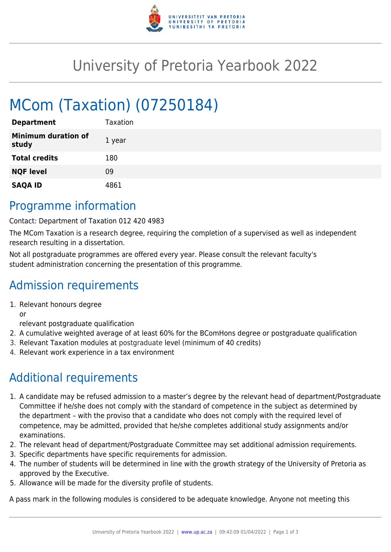

# University of Pretoria Yearbook 2022

# MCom (Taxation) (07250184)

| <b>Department</b>                   | Taxation |
|-------------------------------------|----------|
| <b>Minimum duration of</b><br>study | 1 year   |
| <b>Total credits</b>                | 180      |
| <b>NQF level</b>                    | 09       |
| <b>SAQA ID</b>                      | 4861     |

### Programme information

Contact: Department of Taxation 012 420 4983

The MCom Taxation is a research degree, requiring the completion of a supervised as well as independent research resulting in a dissertation.

Not all postgraduate programmes are offered every year. Please consult the relevant faculty's student administration concerning the presentation of this programme.

## Admission requirements

1. Relevant honours degree

or

relevant postgraduate qualification

- 2. A cumulative weighted average of at least 60% for the BComHons degree or postgraduate qualification
- 3. Relevant Taxation modules at postgraduate level (minimum of 40 credits)
- 4. Relevant work experience in a tax environment

## Additional requirements

- 1. A candidate may be refused admission to a master's degree by the relevant head of department/Postgraduate Committee if he/she does not comply with the standard of competence in the subject as determined by the department – with the proviso that a candidate who does not comply with the required level of competence, may be admitted, provided that he/she completes additional study assignments and/or examinations.
- 2. The relevant head of department/Postgraduate Committee may set additional admission requirements.
- 3. Specific departments have specific requirements for admission.
- 4. The number of students will be determined in line with the growth strategy of the University of Pretoria as approved by the Executive.
- 5. Allowance will be made for the diversity profile of students.

A pass mark in the following modules is considered to be adequate knowledge. Anyone not meeting this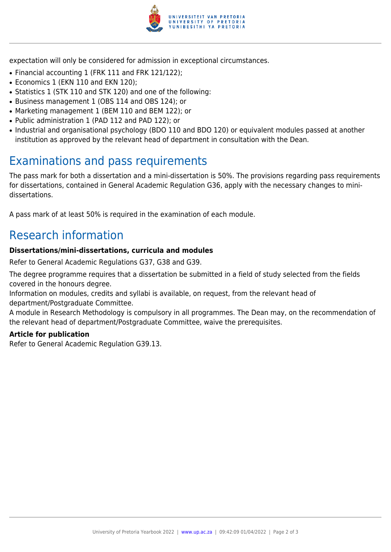

expectation will only be considered for admission in exceptional circumstances.

- Financial accounting 1 (FRK 111 and FRK 121/122);
- Economics 1 (EKN 110 and EKN 120);
- Statistics 1 (STK 110 and STK 120) and one of the following:
- Business management 1 (OBS 114 and OBS 124); or
- Marketing management 1 (BEM 110 and BEM 122); or
- Public administration 1 (PAD 112 and PAD 122); or
- Industrial and organisational psychology (BDO 110 and BDO 120) or equivalent modules passed at another institution as approved by the relevant head of department in consultation with the Dean.

# Examinations and pass requirements

The pass mark for both a dissertation and a mini-dissertation is 50%. The provisions regarding pass requirements for dissertations, contained in General Academic Regulation G36, apply with the necessary changes to minidissertations.

A pass mark of at least 50% is required in the examination of each module.

# Research information

#### **Dissertations/mini-dissertations, curricula and modules**

Refer to General Academic Regulations G37, G38 and G39.

The degree programme requires that a dissertation be submitted in a field of study selected from the fields covered in the honours degree.

Information on modules, credits and syllabi is available, on request, from the relevant head of department/Postgraduate Committee.

A module in Research Methodology is compulsory in all programmes. The Dean may, on the recommendation of the relevant head of department/Postgraduate Committee, waive the prerequisites.

#### **Article for publication**

Refer to General Academic Regulation G39.13.